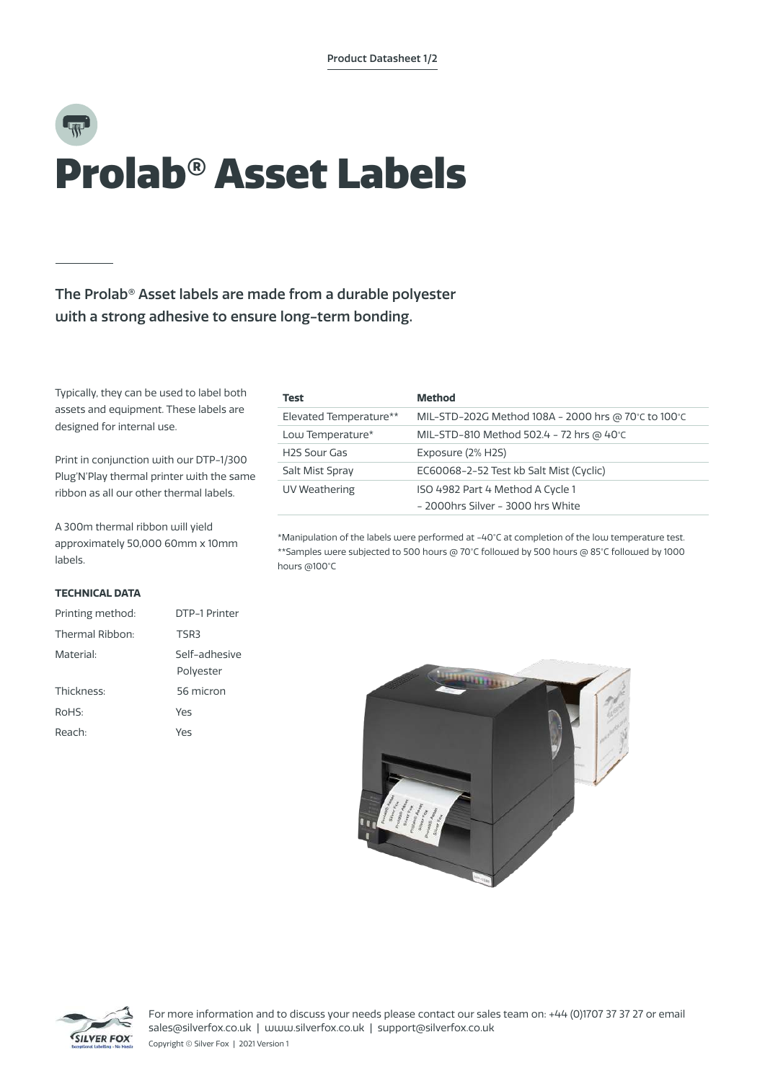# Prolab® Asset Labels

The Prolab® Asset labels are made from a durable polyester with a strong adhesive to ensure long-term bonding.

Typically, they can be used to label both assets and equipment. These labels are designed for internal use.

Print in conjunction with our DTP-1/300 Plug'N'Play thermal printer with the same ribbon as all our other thermal labels.

A 300m thermal ribbon will yield approximately 50,000 60mm x 10mm labels.

## **TECHNICAL DATA**

| Printing method: | DTP-1 Printer              |  |  |
|------------------|----------------------------|--|--|
| Thermal Ribbon:  | TSR3                       |  |  |
| Material:        | Self-adhesive<br>Polyester |  |  |
| Thickness:       | 56 micron                  |  |  |
| RoHS:<br>Yes     |                            |  |  |
| Reach:           | Yes                        |  |  |

| Test                      | <b>Method</b>                                                         |
|---------------------------|-----------------------------------------------------------------------|
| Elevated Temperature**    | MIL-STD-202G Method 108A - 2000 hrs @ 70°C to 100°C                   |
| Low Temperature*          | MIL-STD-810 Method 502.4 - 72 hrs @ 40°C                              |
| H <sub>2</sub> S Sour Gas | Exposure (2% H2S)                                                     |
| Salt Mist Spray           | EC60068-2-52 Test kb Salt Mist (Cyclic)                               |
| UV Weathering             | ISO 4982 Part 4 Method A Cycle 1<br>- 2000hrs Silver - 3000 hrs White |

\*Manipulation of the labels were performed at -40°C at completion of the low temperature test. \*\*Samples were subjected to 500 hours @ 70°C followed by 500 hours @ 85°C followed by 1000 hours @100°C





For more information and to discuss your needs please contact our sales team on: +44 (0)1707 37 37 27 or email sales@silverfox.co.uk | www.silverfox.co.uk | support@silverfox.co.uk

Copyright © Silver Fox | 2021 Version 1